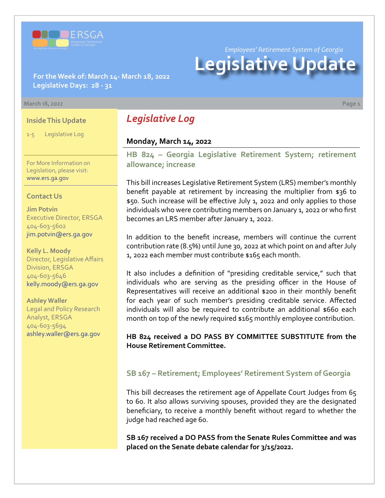

*Employees' Retirement System of Georgia*

# **Legislative Update**

**For the Week of: March 14- March 18, 2022 Legislative Days: 28 - 31**

#### **March 18, 2022 Page 1**

#### **Inside This Update**

1-5 Legislative Log

For More Information on Legislation, please visit: [www.ers.ga.gov](http://www.ers.ga.gov/default.aspx)

#### **Contact Us**

**Jim Potvin** Executive Director, ERSGA 404-603-5602 jim.potvin@ers.ga.gov

**Kelly L. Moody** Director, Legislative Affairs Division, ERSGA 404-603-5646 kelly.moody@ers.ga.gov

**Ashley Waller** Legal and Policy Research Analyst, ERSGA 404-603-5694 ashley.waller@ers.ga.gov

# *Legislative Log*

#### **Monday, March 14, 2022**

**[HB 824 – Georgia Legislative Retirement System; retirement](https://www.legis.ga.gov/legislation/60709)  allowance; increase**

This bill increases Legislative Retirement System (LRS) member's monthly benefit payable at retirement by increasing the multiplier from \$36 to \$50. Such increase will be effective July 1, 2022 and only applies to those individuals who were contributing members on January 1, 2022 or who first becomes an LRS member after January 1, 2022.

In addition to the benefit increase, members will continue the current contribution rate (8.5%) until June 30, 2022 at which point on and after July 1, 2022 each member must contribute \$165 each month.

It also includes a definition of "presiding creditable service," such that individuals who are serving as the presiding officer in the House of Representatives will receive an additional \$200 in their monthly benefit for each year of such member's presiding creditable service. Affected individuals will also be required to contribute an additional \$660 each month on top of the newly required \$165 monthly employee contribution.

#### **HB 824 received a DO PASS BY COMMITTEE SUBSTITUTE from the House Retirement Committee.**

#### **[SB 167 – Retirement; Employees' Retirement System of Georgia](https://www.legis.ga.gov/legislation/59672)**

This bill decreases the retirement age of Appellate Court Judges from 65 to 60. It also allows surviving spouses, provided they are the designated beneficiary, to receive a monthly benefit without regard to whether the judge had reached age 60.

**SB 167 received a DO PASS from the Senate Rules Committee and was placed on the Senate debate calendar for 3/15/2022.**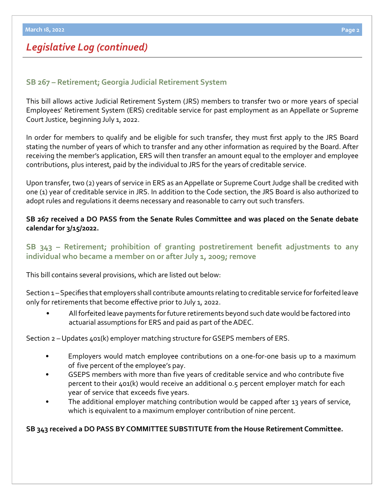#### **[SB 267](https://www.legis.ga.gov/legislation/60119) – [Retirement; Georgia Judicial Retirement System](https://www.legis.ga.gov/legislation/60119)**

This bill allows active Judicial Retirement System (JRS) members to transfer two or more years of special Employees' Retirement System (ERS) creditable service for past employment as an Appellate or Supreme Court Justice, beginning July 1, 2022.

In order for members to qualify and be eligible for such transfer, they must first apply to the JRS Board stating the number of years of which to transfer and any other information as required by the Board. After receiving the member's application, ERS will then transfer an amount equal to the employer and employee contributions, plus interest, paid by the individual to JRS for the years of creditable service.

Upon transfer, two (2) years of service in ERS as an Appellate or Supreme Court Judge shall be credited with one (1) year of creditable service in JRS. In addition to the Code section, the JRS Board is also authorized to adopt rules and regulations it deems necessary and reasonable to carry out such transfers.

#### **SB 267 received a DO PASS from the Senate Rules Committee and was placed on the Senate debate calendar for 3/15/2022.**

## **[SB 343](https://www.legis.ga.gov/legislation/61176) – [Retirement; prohibition of granting postretirement benefit adjustments to any](https://www.legis.ga.gov/legislation/61176)  individual who became a member on or after July 1, 2009; remove**

This bill contains several provisions, which are listed out below:

Section 1 – Specifies that employers shall contribute amounts relating to creditable service for forfeited leave only for retirements that become effective prior to July 1, 2022.

• All forfeited leave payments for future retirements beyond such date would be factored into actuarial assumptions for ERS and paid as part of the ADEC.

#### Section 2 – Updates 401(k) employer matching structure for GSEPS members of ERS.

- Employers would match employee contributions on a one-for-one basis up to a maximum of five percent of the employee's pay.
- GSEPS members with more than five years of creditable service and who contribute five percent to their 401(k) would receive an additional 0.5 percent employer match for each year of service that exceeds five years.
- The additional employer matching contribution would be capped after 13 years of service, which is equivalent to a maximum employer contribution of nine percent.

#### **SB 343 received a DO PASS BY COMMITTEE SUBSTITUTE from the House Retirement Committee.**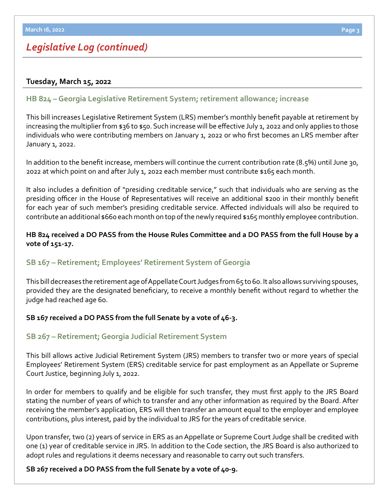#### **Tuesday, March 15, 2022**

## **[HB 824](https://www.legis.ga.gov/legislation/60709) – [Georgia Legislative Retirement System; retirement allowance; increase](https://www.legis.ga.gov/legislation/60709)**

This bill increases Legislative Retirement System (LRS) member's monthly benefit payable at retirement by increasing the multiplier from \$36 to \$50. Such increase will be effective July 1, 2022 and only applies to those individuals who were contributing members on January 1, 2022 or who first becomes an LRS member after January 1, 2022.

In addition to the benefit increase, members will continue the current contribution rate (8.5%) until June 30, 2022 at which point on and after July 1, 2022 each member must contribute \$165 each month.

It also includes a definition of "presiding creditable service," such that individuals who are serving as the presiding officer in the House of Representatives will receive an additional \$200 in their monthly benefit for each year of such member's presiding creditable service. Affected individuals will also be required to contribute an additional \$660 each month on top of the newly required \$165 monthly employee contribution.

#### **HB 824 received a DO PASS from the House Rules Committee and a DO PASS from the full House by a vote of 151-17.**

## **[SB 167 – Retirement; Employees' Retirement System of Georgia](https://www.legis.ga.gov/legislation/59672)**

This bill decreases the retirement age of Appellate Court Judges from 65 to 60. It also allows surviving spouses, provided they are the designated beneficiary, to receive a monthly benefit without regard to whether the judge had reached age 60.

#### **SB 167 received a DO PASS from the full Senate by a vote of 46-3.**

## **[SB 267](https://www.legis.ga.gov/legislation/60119) – [Retirement; Georgia Judicial Retirement System](https://www.legis.ga.gov/legislation/60119)**

This bill allows active Judicial Retirement System (JRS) members to transfer two or more years of special Employees' Retirement System (ERS) creditable service for past employment as an Appellate or Supreme Court Justice, beginning July 1, 2022.

In order for members to qualify and be eligible for such transfer, they must first apply to the JRS Board stating the number of years of which to transfer and any other information as required by the Board. After receiving the member's application, ERS will then transfer an amount equal to the employer and employee contributions, plus interest, paid by the individual to JRS for the years of creditable service.

Upon transfer, two (2) years of service in ERS as an Appellate or Supreme Court Judge shall be credited with one (1) year of creditable service in JRS. In addition to the Code section, the JRS Board is also authorized to adopt rules and regulations it deems necessary and reasonable to carry out such transfers.

#### **SB 267 received a DO PASS from the full Senate by a vote of 40-9.**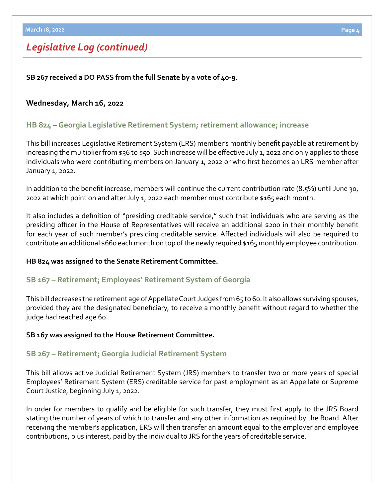#### **SB 267 received a DO PASS from the full Senate by a vote of 40-9.**

#### **Wednesday, March 16, 2022**

#### **[HB 824 – Georgia Legislative Retirement System; retirement allowance; increase](https://www.legis.ga.gov/legislation/60709)**

This bill increases Legislative Retirement System (LRS) member's monthly benefit payable at retirement by increasing the multiplier from \$36 to \$50. Such increase will be effective July 1, 2022 and only applies to those individuals who were contributing members on January 1, 2022 or who first becomes an LRS member after January 1, 2022.

In addition to the benefit increase, members will continue the current contribution rate (8.5%) until June 30, 2022 at which point on and after July 1, 2022 each member must contribute \$165 each month.

It also includes a definition of "presiding creditable service," such that individuals who are serving as the presiding officer in the House of Representatives will receive an additional \$200 in their monthly benefit for each year of such member's presiding creditable service. Affected individuals will also be required to contribute an additional \$660 each month on top of the newly required \$165 monthly employee contribution.

#### **HB 824 was assigned to the Senate Retirement Committee.**

#### **[SB 167 – Retirement; Employees' Retirement System of Georgia](https://www.legis.ga.gov/legislation/59672)**

This bill decreases the retirement age of Appellate Court Judges from 65 to 60. It also allows surviving spouses, provided they are the designated beneficiary, to receive a monthly benefit without regard to whether the judge had reached age 60.

#### **SB 167 was assigned to the House Retirement Committee.**

#### **[SB 267](https://www.legis.ga.gov/legislation/60119) – [Retirement; Georgia Judicial Retirement System](https://www.legis.ga.gov/legislation/60119)**

This bill allows active Judicial Retirement System (JRS) members to transfer two or more years of special Employees' Retirement System (ERS) creditable service for past employment as an Appellate or Supreme Court Justice, beginning July 1, 2022.

In order for members to qualify and be eligible for such transfer, they must first apply to the JRS Board stating the number of years of which to transfer and any other information as required by the Board. After receiving the member's application, ERS will then transfer an amount equal to the employer and employee contributions, plus interest, paid by the individual to JRS for the years of creditable service.